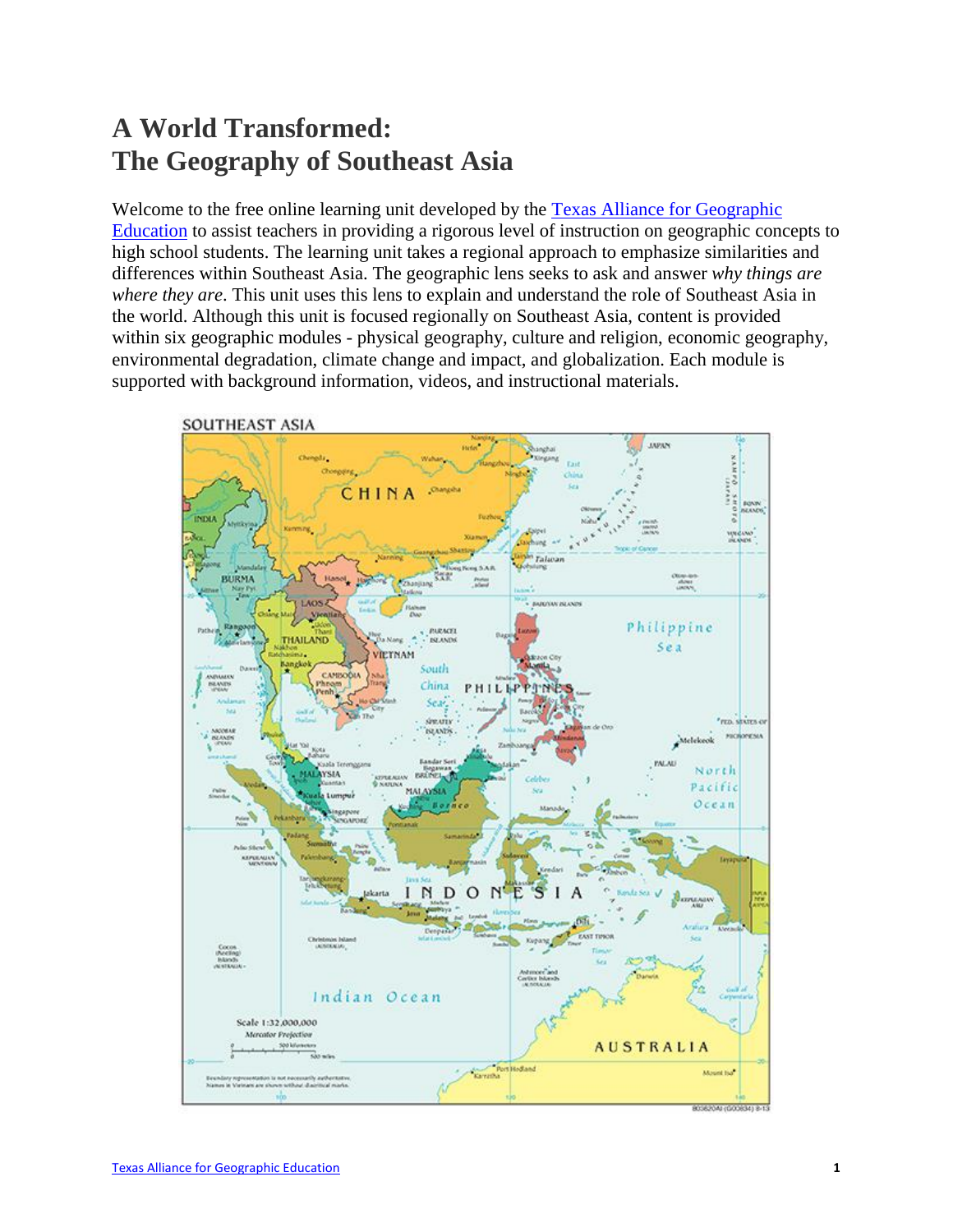## **A World Transformed: The Geography of Southeast Asia**

Welcome to the free online learning unit developed by the Texas [Alliance for Geographic](http://geo.txstate.edu/tage)  [Education](http://geo.txstate.edu/tage) to assist teachers in providing a rigorous level of instruction on geographic concepts to high school students. The learning unit takes a regional approach to emphasize similarities and differences within Southeast Asia. The geographic lens seeks to ask and answer *why things are where they are*. This unit uses this lens to explain and understand the role of Southeast Asia in the world. Although this unit is focused regionally on Southeast Asia, content is provided within six geographic modules - physical geography, culture and religion, economic geography, environmental degradation, climate change and impact, and globalization. Each module is supported with background information, videos, and instructional materials.